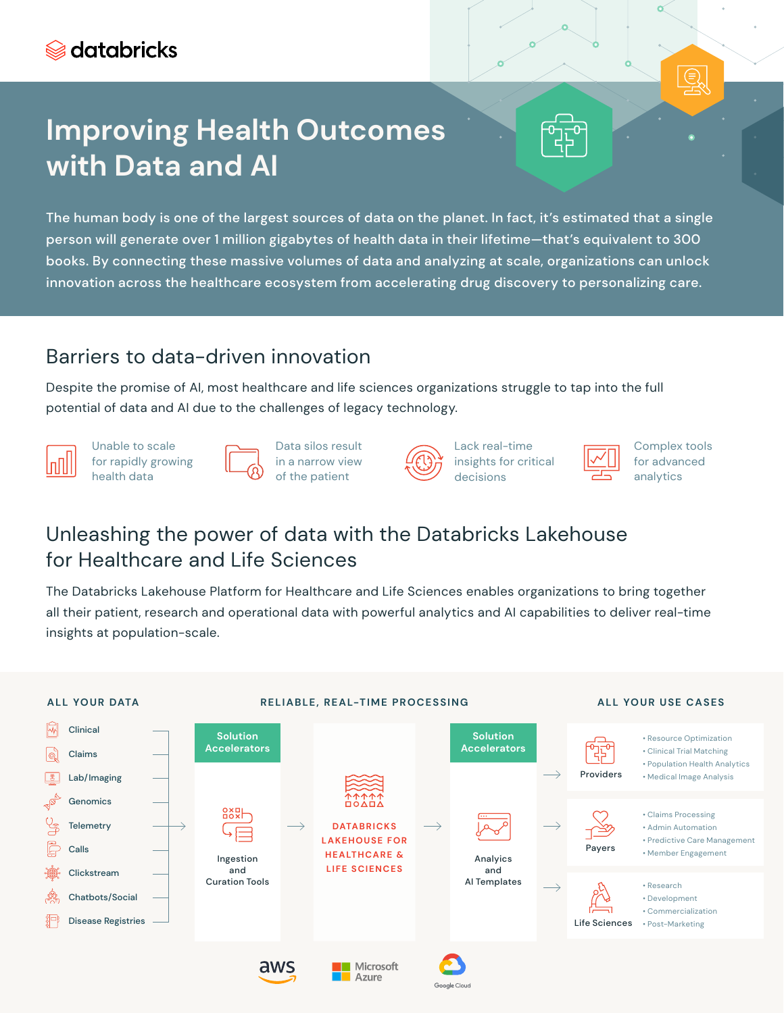# **Improving Health Outcomes with Data and AI**

The human body is one of the largest sources of data on the planet. In fact, it's estimated that a single person will generate over 1 million gigabytes of health data in their lifetime—that's equivalent to 300 books. By connecting these massive volumes of data and analyzing at scale, organizations can unlock innovation across the healthcare ecosystem from accelerating drug discovery to personalizing care.

### Barriers to data-driven innovation

Despite the promise of AI, most healthcare and life sciences organizations struggle to tap into the full potential of data and AI due to the challenges of legacy technology.

Unable to scale for rapidly growing health data



Data silos result in a narrow view of the patient



Lack real-time insights for critical decisions

Complex tools for advanced analytics

⊜

### Unleashing the power of data with the Databricks Lakehouse for Healthcare and Life Sciences

The Databricks Lakehouse Platform for Healthcare and Life Sciences enables organizations to bring together all their patient, research and operational data with powerful analytics and AI capabilities to deliver real-time insights at population-scale.